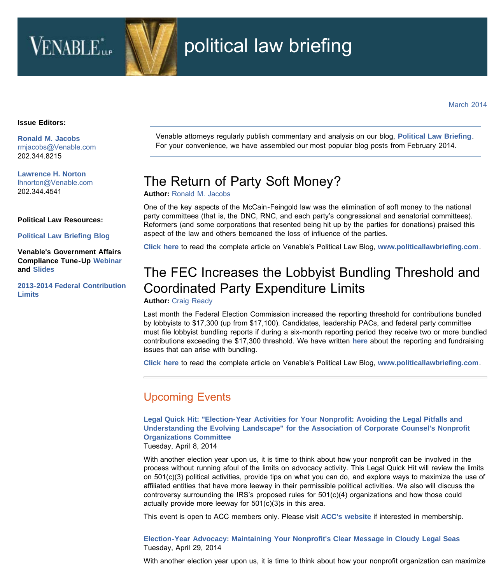# **VENABLE**

## political law briefing

#### **Issue Editors:**

**[Ronald M. Jacobs](http://www.venable.com/Ronald-M-Jacobs)** [rmjacobs@Venable.com](mailto:rmjacobs@Venable.com)  202.344.8215

**[Lawrence H. Norton](http://www.venable.com/Lawrence-H-Norton)** [lhnorton@Venable.com](mailto:lhnorton@Venable.com)  202.344.4541

#### **Political Law Resources:**

**[Political Law Briefing Blog](http://www.politicallawbriefing.com/)**

**Venable's Government Affairs Compliance Tune-Up [Webinar](http://youtu.be/fxxtWKDo2CA) and [Slides](http://www.venable.com/files/Event/91c90637-dcea-44ee-99bc-b33ec0536844/Preview/EventAttachment/7e73780c-4660-42b9-9d71-f3eed3b8e42c/Government_Affairs_Compliance_Tune_Up_slides_Jan_2014.pdf)**

**[2013-2014 Federal Contribution](http://www.venable.com/files/Publication/843c25fd-f448-4ec2-bd40-62edd8a58311/Presentation/PublicationAttachment/6412e3e1-8a63-4a62-a005-6d6e1a4bb252/Contribution_Limits_2013.pdf) [Limits](http://www.venable.com/files/Publication/843c25fd-f448-4ec2-bd40-62edd8a58311/Presentation/PublicationAttachment/6412e3e1-8a63-4a62-a005-6d6e1a4bb252/Contribution_Limits_2013.pdf)**

Venable attorneys regularly publish commentary and analysis on our blog, **[Political Law Briefing](http://www.politicallawbriefing.com/)**. For your convenience, we have assembled our most popular blog posts from February 2014.

### The Return of Party Soft Money?

**Author:** [Ronald M. Jacobs](http://www.venable.com/ronald-m-jacobs/)

One of the key aspects of the McCain-Feingold law was the elimination of soft money to the national party committees (that is, the DNC, RNC, and each party's congressional and senatorial committees). Reformers (and some corporations that resented being hit up by the parties for donations) praised this aspect of the law and others bemoaned the loss of influence of the parties.

**[Click here](http://www.politicallawbriefing.com/2014/02/the-return-of-party-soft-money/)** to read the complete article on Venable's Political Law Blog, **[www.politicallawbriefing.com](http://www.politicallawbriefing.com/)**.

## The FEC Increases the Lobbyist Bundling Threshold and Coordinated Party Expenditure Limits

### **Author:** [Craig Ready](http://www.venable.com/craig-ready/)

Last month the Federal Election Commission increased the reporting threshold for contributions bundled by lobbyists to \$17,300 (up from \$17,100). Candidates, leadership PACs, and federal party committee must file lobbyist bundling reports if during a six-month reporting period they receive two or more bundled contributions exceeding the \$17,300 threshold. We have written **[here](http://www.politicallawbriefing.com/2013/02/the-fec-increases-the-lobbyist-bundling-threshold/)** about the reporting and fundraising issues that can arise with bundling.

**[Click here](http://www.politicallawbriefing.com/2014/02/another-increase-for-the-lobbyist-bundling-threshold/)** to read the complete article on Venable's Political Law Blog, **[www.politicallawbriefing.com](http://www.politicallawbriefing.com/)**.

### Upcoming Events

**[Legal Quick Hit: "Election-Year Activities for Your Nonprofit: Avoiding the Legal Pitfalls and](http://www.venable.com/legal-quick-hit-election-year-activities-for-your-nonprofit-avoiding-the-legal-pitfalls-and-understanding-the-evolving-landscape-for-the-association-of-corporate-counsels-nonprofit-organizations-committee-04-08-2014/) [Understanding the Evolving Landscape" for the Association of Corporate Counsel's Nonprofit](http://www.venable.com/legal-quick-hit-election-year-activities-for-your-nonprofit-avoiding-the-legal-pitfalls-and-understanding-the-evolving-landscape-for-the-association-of-corporate-counsels-nonprofit-organizations-committee-04-08-2014/) [Organizations Committee](http://www.venable.com/legal-quick-hit-election-year-activities-for-your-nonprofit-avoiding-the-legal-pitfalls-and-understanding-the-evolving-landscape-for-the-association-of-corporate-counsels-nonprofit-organizations-committee-04-08-2014/)**

Tuesday, April 8, 2014

With another election year upon us, it is time to think about how your nonprofit can be involved in the process without running afoul of the limits on advocacy activity. This Legal Quick Hit will review the limits on 501(c)(3) political activities, provide tips on what you can do, and explore ways to maximize the use of affiliated entities that have more leeway in their permissible political activities. We also will discuss the controversy surrounding the IRS's proposed rules for 501(c)(4) organizations and how those could actually provide more leeway for 501(c)(3)s in this area.

This event is open to ACC members only. Please visit **[ACC's website](http://www.acc.com/)** if interested in membership.

**[Election-Year Advocacy: Maintaining Your Nonprofit's Clear Message in Cloudy Legal Seas](http://www.venable.com/election-year-advocacy-maintaining-your-nonprofits-clear-message-in-cloudy-legal-seas-04-29-2014/)** Tuesday, April 29, 2014

With another election year upon us, it is time to think about how your nonprofit organization can maximize